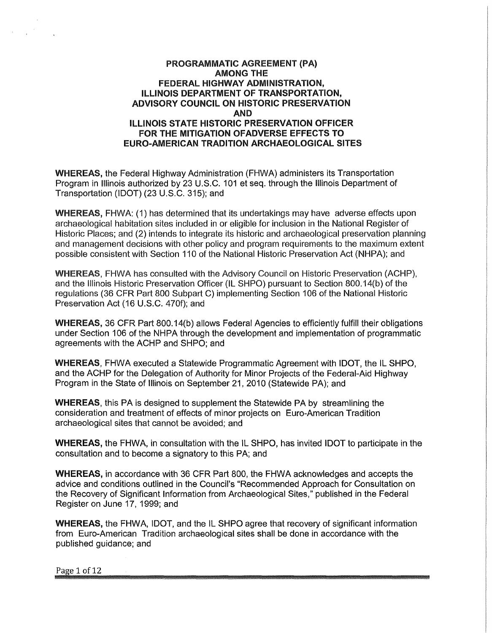### PROGRAMMATIC AGREEMENT (PA} **AMONG THE FEDERAL HIGHWAY ADMINISTRATION, ILLINOIS DEPARTMENT OF TRANSPORTATION, ADVISORY COUNCIL ON HISTORIC PRESERVATION AND ILLINOIS STATE HISTORIC PRESERVATION** OFFICER **FOR THE MITIGATION OFADVERSE EFFECTS TO EURO-AMERICAN TRADITION ARCHAEOLOGICAL** SITES

WHEREAS, the Federal Highway Administration (FHWA) administers its Transportation Program in Illinois authorized by 23 U.S.C. 101 et seq. through the Illinois Department of Transportation (IDOT) (23 U.S.C. 315); and

WHEREAS, FHWA: (1) has determined that its undertakings may have adverse effects upon archaeological habitation sites included in or eligible for inclusion in the National Register of Historic Places; and (2) intends to integrate its historic and archaeological preservation planning and management decisions with other policy and program requirements to the maximum extent possible consistent with Section 110 of the National Historic Preservation Act (NHPA); and

WHEREAS, FHWA has consulted with the Advisory Council on Historic Preservation (ACHP), and the Illinois Historic Preservation Officer (IL SHPO) pursuant to Section 800.14(b) of the regulations (36 CFR Part 800 Subpart C) implementing Section 106 of the National Historic Preservation Act (16 U.S.C. 470f); and

WHEREAS, 36 CFR Part 800.14(b) allows Federal Agencies to efficiently fulfill their obligations under Section 106 of the NHPA through the development and implementation of programmatic agreements with the ACHP and SHPO; and

**WHEREAS,** FHWA executed a Statewide Programmatic Agreement with IDOT, the IL SHPO, and the ACHP for the Delegation of Authority for Minor Projects of the Federal-Aid Highway Program in the State of Illinois on September 21, 2010 (Statewide PA); and

**WHEREAS,** this PA is designed to supplement the Statewide PA by streamlining the consideration and treatment of effects of minor projects on Euro-American Tradition archaeological sites that cannot be avoided; and

**WHEREAS,** the FHWA, in consultation with the IL SHPO, has invited IDOT to participate in the consultation and to become a signatory to this PA; and

**WHEREAS,** in accordance with 36 CFR Part 800, the FHWA acknowledges and accepts the advice and conditions outlined in the Council's "Recommended Approach for Consultation on the Recovery of Significant Information from Archaeological Sites," published in the Federal Register on June 17, 1999; and

**WHEREAS,** the FHWA, IDOT, and the IL SHPO agree that recovery of significant information from Euro-American Tradition archaeological sites shall be done in accordance with the published guidance; and

Page 1 of 12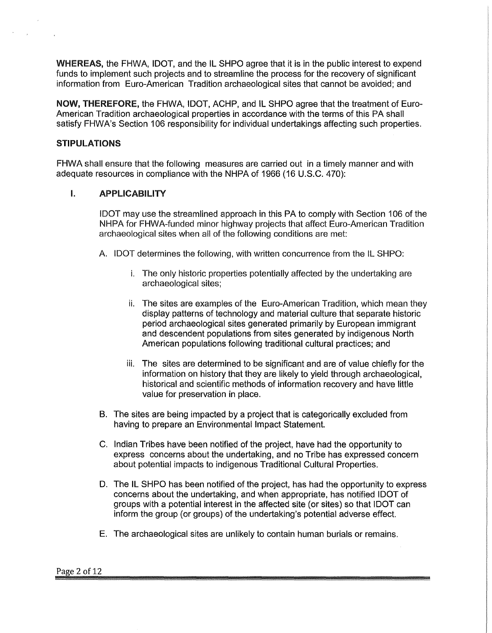WHEREAS, the FHWA, IDOT, and the IL SHPO agree that it is in the public interest to expend funds to implement such projects and to streamline the process for the recovery of significant information from Euro-American Tradition archaeological sites that cannot be avoided; and

NOW, THEREFORE, the FHWA, IDOT, ACHP, and IL SHPO agree that the treatment of Euro-American Tradition archaeological properties in accordance with the terms of this PA shall satisfy FHWA's Section 106 responsibility for individual undertakings affecting such properties.

### **STIPULATIONS**

FHWA shall ensure that the following measures are carried out in a timely manner and with adequate resources in compliance with the NHPA of 1966 (16 U.S.C. 470):

### I. **APPLICABILITY**

IDOT may use the streamlined approach in this PA to comply with Section 106 of the NHPA for FHWA-funded minor highway projects that affect Euro-American Tradition archaeological sites when all of the following conditions are met:

- A. IDOT determines the following, with written concurrence from the IL SHPO:
	- i. The only historic properties potentially affected by the undertaking are archaeological sites;
	- ii. The sites are examples of the Euro-American Tradition, which mean they display patterns of technology and material culture that separate historic period archaeological sites generated primarily by European immigrant and descendent populations from sites generated by indigenous North American populations following traditional cultural practices; and
	- iii. The sites are determined to be significant and are of value chiefly for the information on history that they are likely to yield through archaeological, historical and scientific methods of information recovery and have little value for preservation in place.
- B. The sites are being impacted by a project that is categorically excluded from having to prepare an Environmental Impact Statement.
- C. Indian Tribes have been notified of the project, have had the opportunity to express concerns about the undertaking, and no Tribe has expressed concern about potential impacts to indigenous Traditional Cultural Properties.
- D. The IL SHPO has been notified of the project, has had the opportunity to express concerns about the undertaking, and when appropriate, has notified IDOT of groups with a potential interest in the affected site (or sites) so that IDOT can inform the group (or groups) of the undertaking's potential adverse effect.
- E. The archaeological sites are unlikely to contain human burials or remains.

#### Page 2 of 12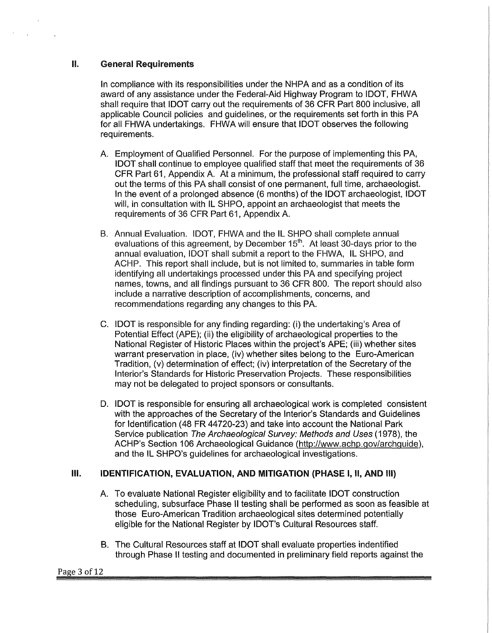### II. General Requirements

In compliance with its responsibilities under the NHPA and as a condition of its award of any assistance under the Federal-Aid Highway Program to IDOT, FHWA shall require that IDOT carry out the requirements of 36 CFR Part 800 inclusive, all applicable Council policies and guidelines, or the requirements set forth in this PA for all FHWA undertakings. FHWA will ensure that IDOT observes the following requirements.

- A. Employment of Qualified Personnel. For the purpose of implementing this PA, IDOT shall continue to employee qualified staff that meet the requirements of 36 CFR Part 61, Appendix A. At a minimum, the professional staff required to carry out the terms of this PA shall consist of one permanent, full time, archaeologist. In the event of a prolonged absence (6 months) of the IDOT archaeologist, IDOT will, in consultation with IL SHPO, appoint an archaeologist that meets the requirements of 36 CFR Part 61, Appendix A.
- B. Annual Evaluation. IDOT, FHWA and the IL SHPO shall complete annual evaluations of this agreement, by December  $15<sup>th</sup>$ . At least 30-days prior to the annual evaluation, IDOT shall submit a report to the FHWA, IL SHPO, and ACHP. This report shall include, but is not limited to, summaries in table form identifying all undertakings processed under this PA and specifying project names, towns, and all findings pursuant to 36 CFR 800. The report should also include a narrative description of accomplishments, concerns, and recommendations regarding any changes to this PA.
- C. IDOT is responsible for any finding regarding: (i) the undertaking's Area of Potential Effect (APE); (ii) the eligibility of archaeological properties to the National Register of Historic Places within the project's APE; (iii) whether sites warrant preservation in place, (iv) whether sites belong to the Euro-American Tradition, (v) determination of effect; (iv) interpretation of the Secretary of the Interior's Standards for Historic Preservation Projects. These responsibilities may not be delegated to project sponsors or consultants.
- D. IDOT is responsible for ensuring all archaeological work is completed consistent with the approaches of the Secretary of the Interior's Standards and Guidelines for Identification (48 FR 44720-23) and take into account the National Park Service publication The Archaeological Survey: Methods and Uses (1978), the ACHP's Section 106 Archaeological Guidance (http://www.achp.gov/archguide ), and the IL SHPO's guidelines for archaeological investigations.

### **Ill. IDENTIFICATION, EVALUATION, AND MITIGATION (PHASE** I, **11, AND** Ill)

- A. To evaluate National Register eligibility and to facilitate IDOT construction scheduling, subsurface Phase II testing shall be performed as soon as feasible at those Euro-American Tradition archaeological sites determined potentially eligible for the National Register by IDOT's Cultural Resources staff.
- B. The Cultural Resources staff at IDOT shall evaluate properties indentified through Phase II testing and documented in preliminary field reports against the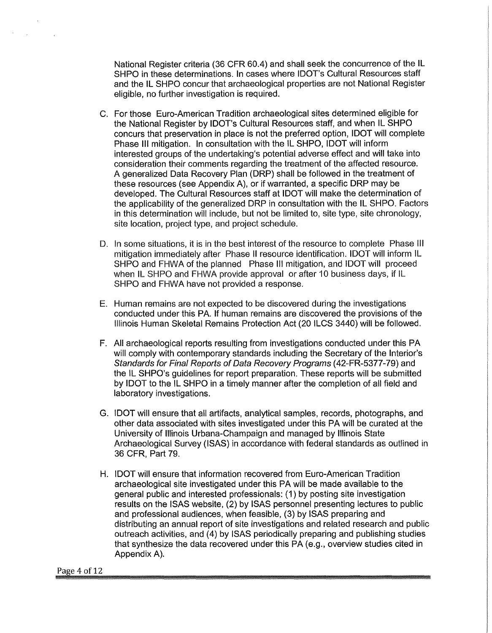National Register criteria (36 CFR 60.4) and shall seek the concurrence of the IL SHPO in these determinations. In cases where IDOT's Cultural Resources staff and the IL SHPO concur that archaeological properties are not National Register eligible, no further investigation is required.

- C. For those Euro-American Tradition archaeological sites determined eligible for the National Register by IDOT's Cultural Resources staff, and when IL SHPO concurs that preservation in place is not the preferred option, IDOT will complete Phase Ill mitigation. In consultation with the IL SHPO, IDOT will inform interested groups of the undertaking's potential adverse effect and will take into consideration their comments regarding the treatment of the affected resource. A generalized Data Recovery Plan (DRP) shall be followed in the treatment of these resources (see Appendix A), or if warranted, a specific DRP may be developed. The Cultural Resources staff at IDOT will make the determination of the applicability of the generalized DRP in consultation with the IL SHPO. Factors in this determination will include, but not be limited to, site type, site chronology, site location, project type, and project schedule.
- D. In some situations, it is in the best interest of the resource to complete Phase Ill mitigation immediately after Phase II resource identification. IDOT will inform IL SHPO and FHWA of the planned Phase Ill mitigation, and IDOT will proceed when IL SHPO and FHWA provide approval or after 10 business days, if IL SHPO and FHWA have not provided a response.
- E. Human remains are not expected to be discovered during the investigations conducted under this PA. If human remains are discovered the provisions of the Illinois Human Skeletal Remains Protection Act (20 ILCS 3440) will be followed.
- F. All archaeological reports resulting from investigations conducted under this PA will comply with contemporary standards including the Secretary of the Interior's Standards for Final Reports of Data Recovery Programs (42-FR-5377-79) and the IL SHPO's guidelines for report preparation. These reports will be submitted by IDOT to the IL SHPO in a timely manner after the completion of all field and laboratory investigations.
- G. IDOT will ensure that all artifacts, analytical samples, records, photographs, and other data associated with sites investigated under this PA will be curated at the University of Illinois Urbana-Champaign and managed by Illinois State Archaeological Survey (ISAS) in accordance with federal standards as outlined in 36 CFR, Part 79.
- H. IDOT will ensure that information recovered from Euro-American Tradition archaeological site investigated under this PA will be made available to the general public and interested professionals: (1) by posting site investigation results on the ISAS website, (2) by ISAS personnel presenting lectures to public and professional audiences, when feasible, (3) by ISAS preparing and distributing an annual report of site investigations and related research and public outreach activities, and (4) by ISAS periodically preparing and publishing studies that synthesize the data recovered under this PA (e.g., overview studies cited in Appendix A).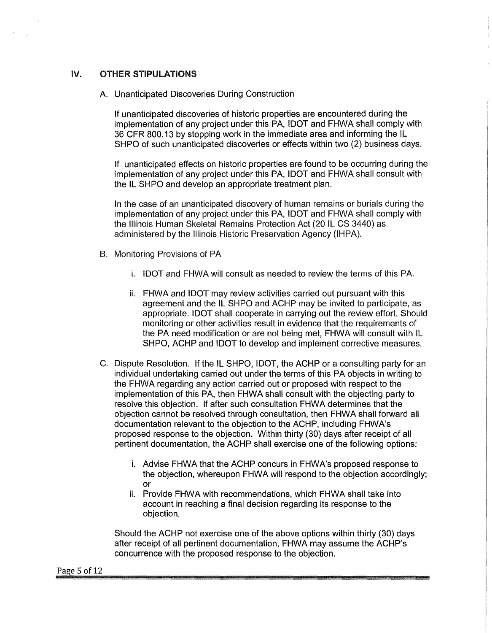### IV. OTHER STIPULATIONS

A. Unanticipated Discoveries During Construction

If unanticipated discoveries of historic properties are encountered during the implementation of any project under this PA, IDOT and FHWA shall comply with 36 CFR 800.13 by stopping work in the immediate area and informing the IL SHPO of such unanticipated discoveries or effects within two (2) business days.

If unanticipated effects on historic properties are found to be occurring during the implementation of any project under this PA, IDOT and FHWA shall consult with the IL SHPO and develop an appropriate treatment plan.

In the case of an unanticipated discovery of human remains or burials during the implementation of any project under this PA, IDOT and FHWA shall comply with the Illinois Human Skeletal Remains Protection Act (20 IL CS 3440) as administered by the Illinois Historic Preservation Agency (IHPA).

- B. Monitoring Provisions of PA
	- i. IDOT and FHWA will consult as needed to review the terms of this PA.
	- ii. FHWA and IDOT may review activities carried out pursuant with this agreement and the IL SHPO and ACHP may be invited to participate, as appropriate. IDOT shall cooperate in carrying out the review effort. Should monitoring or other activities result in evidence that the requirements of the PA need modification or are not being met, FHWA will consult with IL SHPO, ACHP and IDOT to develop and implement corrective measures.
- C. Dispute Resolution. If the IL SHPO, IDOT, the ACHP or a consulting party for an individual undertaking carried out under the terms of this PA objects in writing to the FHWA regarding any action carried out or proposed with respect to the implementation of this PA, then FHWA shall consult with the objecting party to resolve this objection. If after such consultation FHWA determines that the objection cannot be resolved through consultation, then FHWA shall forward all documentation relevant to the objection to the ACHP, including FHWA's proposed response to the objection. Within thirty (30) days after receipt of all pertinent documentation, the ACHP shall exercise one of the following options:
	- i. Advise FHWA that the ACHP concurs in FHWA's proposed response to the objection, whereupon FHWA will respond to the objection accordingly; or
	- ii. Provide FHWA with recommendations, which FHWA shall take into account in reaching a final decision regarding its response to the objection.

Should the ACHP not exercise one of the above options within thirty (30) days after receipt of all pertinent documentation, FHWA may assume the ACHP's concurrence with the proposed response to the objection.

#### Page 5 of 12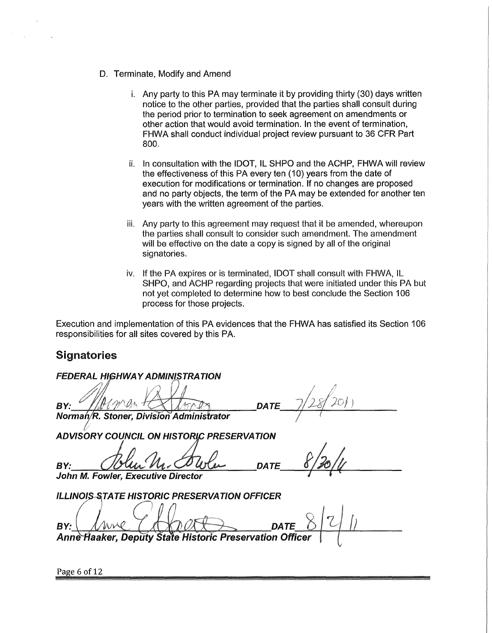- D. Terminate, Modify and Amend
	- i. Any party to this PA may terminate it by providing thirty (30) days written notice to the other parties, provided that the parties shall consult during the period prior to termination to seek agreement on amendments or other action that would avoid termination. In the event of termination, FHWA shall conduct individual project review pursuant to 36 CFR Part 800.
	- ii. In consultation with the IDOT, IL SHPO and the ACHP, FHWA will review the effectiveness of this PA every ten (10) years from the date of execution for modifications or termination. If no changes are proposed and no party objects, the term of the PA may be extended for another ten years with the written agreement of the parties.
	- iii. Any party to this agreement may request that it be amended, whereupon the parties shall consult to consider such amendment. The amendment will be effective on the date a copy is signed by all of the original signatories.
	- iv. If the PA expires or is terminated, IDOT shall consult with FHWA, IL SHPO, and ACHP regarding projects that were initiated under this PA but not yet completed to determine how to best conclude the Section 106 process for those projects.

Execution and implementation of this PA evidences that the FHWA has satisfied its Section 106 responsibilities for all sites covered by this PA.

# **Signatories**

**FEDERAL HIGHWAY ADMINISTRATION** BY:

**DATE** 

Norman/R. Stoner, Division Administrator

**ADVISORY COUNCIL ON HISTORIC PRESERVATION** 

BY: Oblum Mr. Cowler DATE 8/30/4 John M. Fowler, Executive Director

**ILLINOIS-STATE HISTORIC PRESERVATION OFFICER** 

 $\frac{1}{2}$  $v_{\text{ave}}$   $\left\{\text{Kport}\right\}_{\text{part}}$   $8|2|1|$ BY:

Anne Haaker, Deputy State Historic Preservation Office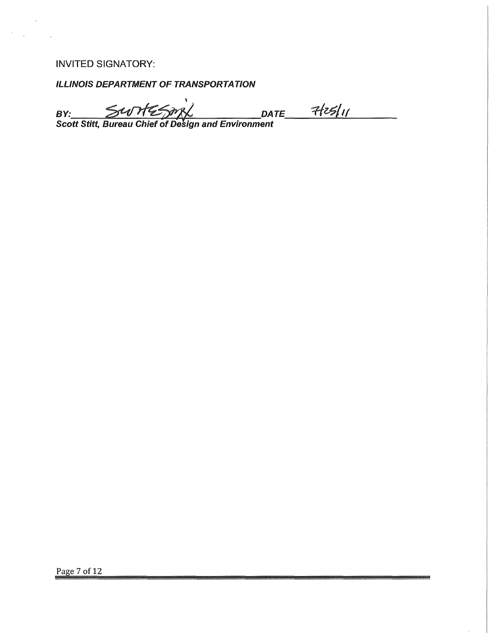## INVITED SIGNATORY:

ILUNOIS DEPARTMENT OF TRANSPORTATION

I B~ ~~ DATE \_\_ *-#,\_~\_~l~'~I \_\_ \_* Scott Stitt, Bureau Chief of Design and Environment

Page 7 of 12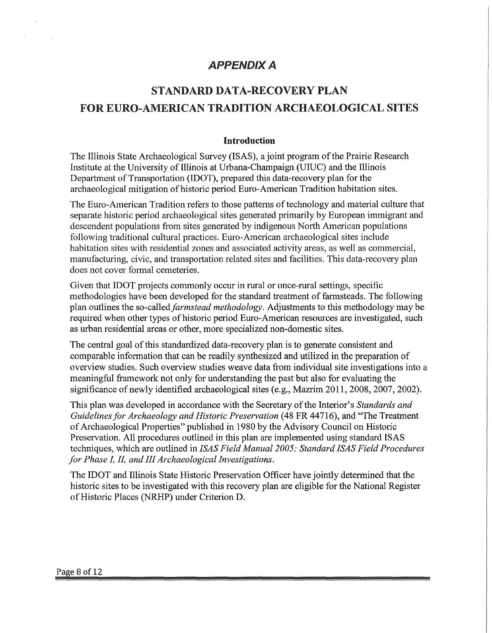# APPENDIX A

# STANDARD DATA-RECOVERY PLAN FOR EURO-AMERICAN TRADITION ARCHAEOLOGICAL SITES

### **Introduction**

The Illinois State Archaeological Survey (ISAS), a joint program of the Prairie Research Institute at the University of Illinois at Urbana-Champaign (UIUC) and the Illinois Department of Transportation (IDOT), prepared this data-recovery plan for the archaeological mitigation of historic period Euro-American Tradition habitation sites.

The Euro-American Tradition refers to those patterns of technology and material culture that separate historic period archaeological sites generated primarily by European immigrant and descendent populations from sites generated by indigenous North American populations following traditional cultural practices. Euro-American archaeological sites include habitation sites with residential zones and associated activity areas, as well as commercial, manufacturing, civic, and transportation related sites and facilities. This data-recovery plan does not cover formal cemeteries.

Given that IDOT projects commonly occur in rural or once-rural settings, specific methodologies have been developed for the standard treatment of farmsteads. The following plan outlines the so-called *farmstead methodology.* Adjustments to this methodology may be required when other types of historic period Euro-American resources are investigated, such as urban residential areas or other, more specialized non-domestic sites.

The central goal of this standardized data-recovery plan is to generate consistent and comparable information that can be readily synthesized and utilized in the preparation of overview studies. Such overview studies weave data from individual site investigations into a meaningful framework not only for understanding the past but also for evaluating the significance of newly identified archaeological sites (e.g., Mazrim 2011, 2008, 2007, 2002).

This plan was developed in accordance with the Secretary of the Interior's *Standards and Guidelines for Archaeology and Historic Preservation* (48 FR 44716), and "The Treatment of Archaeological Properties" published in 1980 by the Advisory Council on Historic Preservation. All procedures outlined in this plan are implemented using standard ISAS techniques, which are outlined in *!SAS Field Manual 2005: Standard !SAS Field Procedures for Phase L IL and III Archaeological Investigations.* 

The IDOT and Illinois State Historic Preservation Officer have jointly determined that the historic sites to be investigated with this recovery plan are eligible for the National Register of Historic Places (NRHP) under Criterion **D.**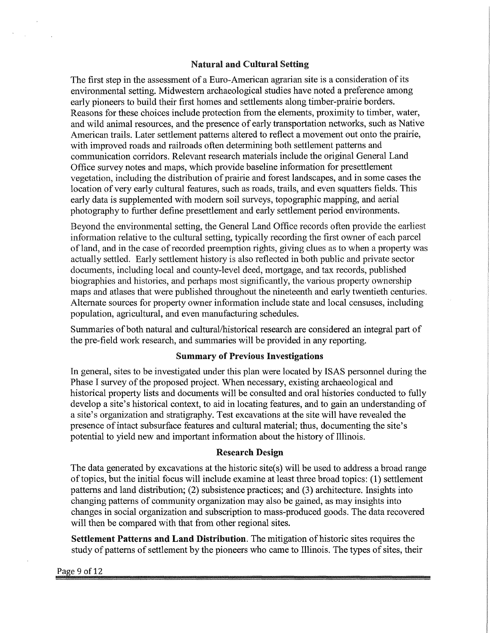### Natural and Cultural Setting

The first step in the assessment of a Euro-American agrarian site is a consideration of its environmental setting. Midwestern archaeological studies have noted a preference among early pioneers to build their first homes and settlements along timber-prairie borders. Reasons for these choices include protection from the elements, proximity to timber, water, and wild animal resources, and the presence of early transportation networks, such as Native American trails. Later settlement patterns altered to reflect a movement out onto the prairie, with improved roads and railroads often determining both settlement patterns and communication corridors. Relevant research materials include the original General Land Office survey notes and maps, which provide baseline information for presettlement vegetation, including the distribution of prairie and forest landscapes, and in some cases the location of very early cultural features, such as roads, trails, and even squatters fields. This early data is supplemented with modem soil surveys, topographic mapping, and aerial photography to further define presettlement and early settlement period environments.

Beyond the environmental setting, the General Land Office records often provide the earliest information relative to the cultural setting, typically recording the first owner of each parcel of land, and in the case of recorded preemption rights, giving clues as to when a property was actually settled. Early settlement history is also reflected in both public and private sector documents, including local and county-level deed, mortgage, and tax records, published biographies and histories, and perhaps most significantly, the various property ownership maps and atlases that were published throughout the nineteenth and early twentieth centuries. Alternate sources for property owner information include state and local censuses, including population, agricultural, and even manufacturing schedules.

Summaries of both natural and cultural/historical research are considered an integral part of the pre-field work research, and summaries will be provided in any reporting.

### **Summary of Previous Investigations**

In general, sites to be investigated under this plan were located by ISAS personnel during the Phase I survey of the proposed project. When necessary, existing archaeological and historical property lists and documents will be consulted and oral histories conducted to fully develop a site's historical context, to aid in locating features, and to gain an understanding of a site's organization and stratigraphy. Test excavations at the site will have revealed the presence of intact subsurface features and cultural material; thus, documenting the site's potential to yield new and important information about the history of Illinois.

### **Research Design**

The data generated by excavations at the historic site(s) will be used to address a broad range of topics, but the initial focus will include examine at least three broad topics: (1) settlement patterns and land distribution; (2) subsistence practices; and (3) architecture. Insights into changing patterns of community organization may also be gained, as may insights into changes in social organization and subscription to mass-produced goods. The data recovered will then be compared with that from other regional sites.

**Settlement Patterns and Land Distribution.** The mitigation of historic sites requires the study of patterns of settlement by the pioneers who came to Illinois. The types of sites, their

#### Page 9 of 12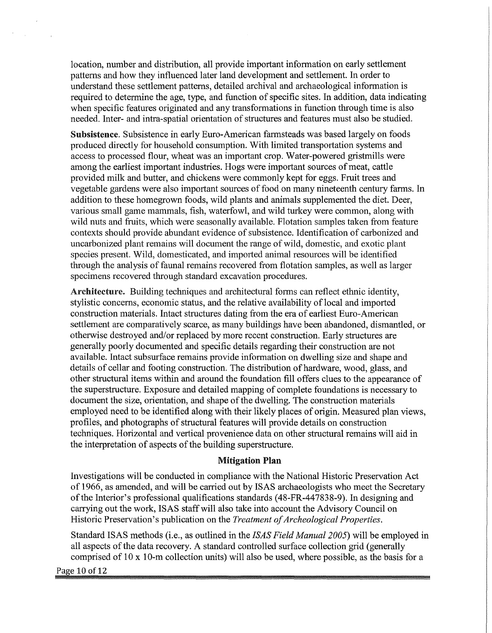location, number and distribution, all provide important information on early settlement patterns and how they influenced later land development and settlement. In order to understand these settlement patterns, detailed archival and archaeological information is required to determine the age, type, and function of specific sites. In addition, data indicating when specific features originated and any transformations in function through time is also needed. Inter- and intra-spatial orientation of structures and features must also be studied.

**Subsistence.** Subsistence in early Euro-American farmsteads was based largely on foods produced directly for household consumption. With limited transportation systems and access to processed flour, wheat was an important crop. Water-powered gristmills were among the earliest important industries. Hogs were important sources of meat, cattle provided milk and butter, and chickens were commonly kept for eggs. Fruit trees and vegetable gardens were also important sources of food on many nineteenth century farms. In addition to these homegrown foods, wild plants and animals supplemented the diet. Deer, various small game mammals, fish, waterfowl, and wild turkey were common, along with wild nuts and fruits, which were seasonally available. Flotation samples taken from feature contexts should provide abundant evidence of subsistence. Identification of carbonized and uncarbonized plant remains will document the range of wild, domestic, and exotic plant species present. Wild, domesticated, and imported animal resources will be identified through the analysis of faunal remains recovered from flotation samples, as well as larger specimens recovered through standard excavation procedures.

Architecture. Building techniques and architectural forms can reflect ethnic identity, stylistic concerns, economic status, and the relative availability of local and imported construction materials. Intact structures dating from the era of earliest Euro-American settlement are comparatively scarce, as many buildings have been abandoned, dismantled, or otherwise destroyed and/or replaced by more recent construction. Early structures are generally poorly documented and specific details regarding their construction are not available. Intact subsurface remains provide information on dwelling size and shape and details of cellar and footing construction. The distribution of hardware, wood, glass, and other structural items within and around the foundation fill offers clues to the appearance of the superstructure. Exposure and detailed mapping of complete foundations is necessary to document the size, orientation, and shape of the dwelling. The construction materials employed need to be identified along with their likely places of origin. Measured plan views, profiles, and photographs of structural features will provide details on construction techniques. Horizontal and vertical provenience data on other structural remains will aid in the interpretation of aspects of the building superstructure.

### **Mitigation Plan**

Investigations will be conducted in compliance with the National Historic Preservation Act of 1966, as amended, and will be carried out by ISAS archaeologists who meet the Secretary of the Interior's professional qualifications standards (48-FR-447838-9). In designing and carrying out the work, ISAS staff will also take into account the Advisory Council on Historic Preservation's publication on the *Treatment of Archeological Properties.* 

Standard ISAS methods (i.e., as outlined in the *!SAS Field Manual 2005)* will be employed in all aspects of the data recovery. A standard controlled surface collection grid (generally comprised of 10 x 10-m collection units) will also be used, where possible, as the basis for a

Page 10 of 12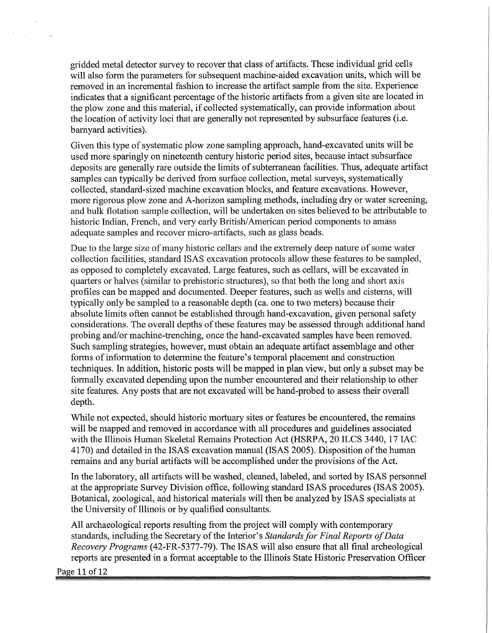gridded metal detector survey to recover that class of artifacts. These individual grid cells will also form the parameters for subsequent machine-aided excavation units, which will be removed in an incremental fashion to increase the artifact sample from the site. Experience indicates that a significant percentage of the historic artifacts from a given site are located in the plow zone and this material, if collected systematically, can provide information about the location of activity loci that are generally not represented by subsurface features (i.e. barnyard activities).

Given this type of systematic plow zone sampling approach, hand-excavated units will be used more sparingly on nineteenth century historic period sites, because intact subsurface deposits are generally rare outside the limits of subterranean facilities. Thus, adequate artifact samples can typically be derived from surface collection, metal surveys, systematically collected, standard-sized machine excavation blocks, and feature excavations. However, more rigorous plow zone and A-horizon sampling methods, including dry or water screening, and bulk flotation sample collection, will be undertaken on sites believed to be attributable to historic Indian, French, and very early British/ American period components to amass adequate samples and recover micro-artifacts, such as glass beads.

Due to the large size of many historic cellars and the extremely deep nature of some water collection facilities, standard ISAS excavation protocols allow these features to be sampled, as opposed to completely excavated. Large features, such as cellars, will be excavated in quarters or halves (similar to prehistoric structures), so that both the long and short axis profiles can be mapped and documented. Deeper features, such as wells and cisterns, will typically only be sampled to a reasonable depth ( ca. one to two meters) because their absolute limits often cannot be established through hand-excavation, given personal safety considerations. The overall depths of these features may be assessed through additional hand probing and/or machine-trenching, once the hand-excavated samples have been removed. Such sampling strategies, however, must obtain an adequate artifact assemblage and other forms of information to determine the feature's temporal placement and construction techniques. In addition, historic posts will be mapped in plan view, but only a subset may be formally excavated depending upon the number encountered and their relationship to other site features. Any posts that are not excavated will be hand-probed to assess their overall depth.

While not expected, should historic mortuary sites or features be encountered, the remains will be mapped and removed in accordance with all procedures and guidelines associated with the Illinois Human Skeletal Remains Protection Act (HSRPA, 20 ILCS 3440, 17 IAC 4170) and detailed in the ISAS excavation manual (ISAS 2005). Disposition of the human remains and any burial artifacts will be accomplished under the provisions of the Act.

In the laboratory, all artifacts will be washed, cleaned, labeled, and sorted by ISAS personnel at the appropriate Survey Division office, following standard ISAS procedures (ISAS 2005). Botanical, zoological, and historical materials will then be analyzed by ISAS specialists at the University of Illinois or by qualified consultants.

All archaeological reports resulting from the project will comply with contemporary standards, including the Secretary of the Interior's *Standards for Final Reports of Data Recovery Programs* (42-FR-5377-79). The ISAS will also ensure that all final archeological reports are presented in a format acceptable to the Illinois State Historic Preservation Officer

Page 11 of 12